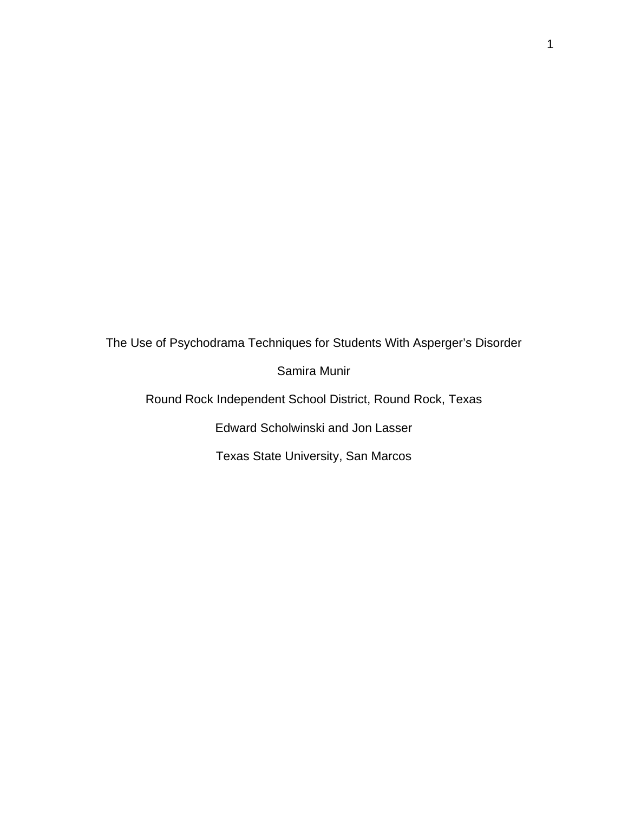The Use of Psychodrama Techniques for Students With Asperger's Disorder

Samira Munir

Round Rock Independent School District, Round Rock, Texas

Edward Scholwinski and Jon Lasser

Texas State University, San Marcos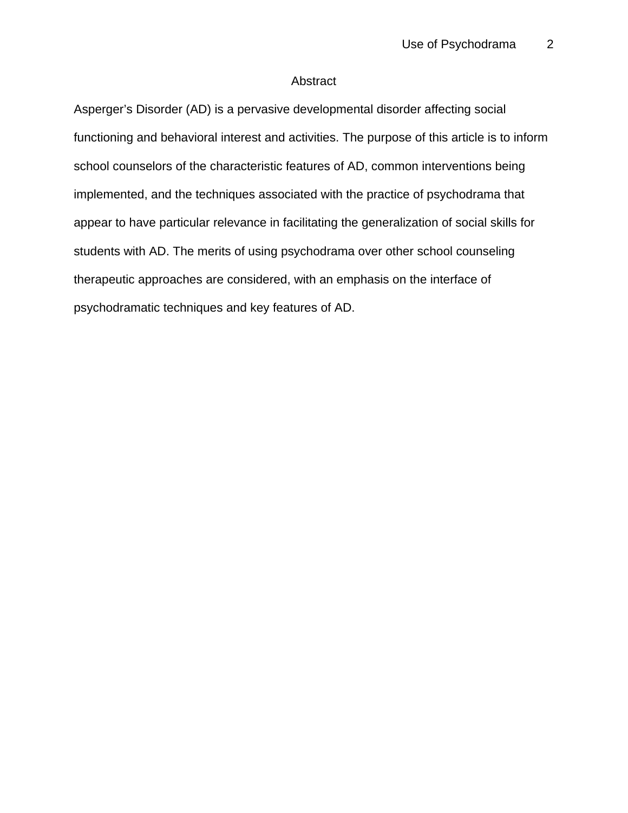## Abstract

Asperger's Disorder (AD) is a pervasive developmental disorder affecting social functioning and behavioral interest and activities. The purpose of this article is to inform school counselors of the characteristic features of AD, common interventions being implemented, and the techniques associated with the practice of psychodrama that appear to have particular relevance in facilitating the generalization of social skills for students with AD. The merits of using psychodrama over other school counseling therapeutic approaches are considered, with an emphasis on the interface of psychodramatic techniques and key features of AD.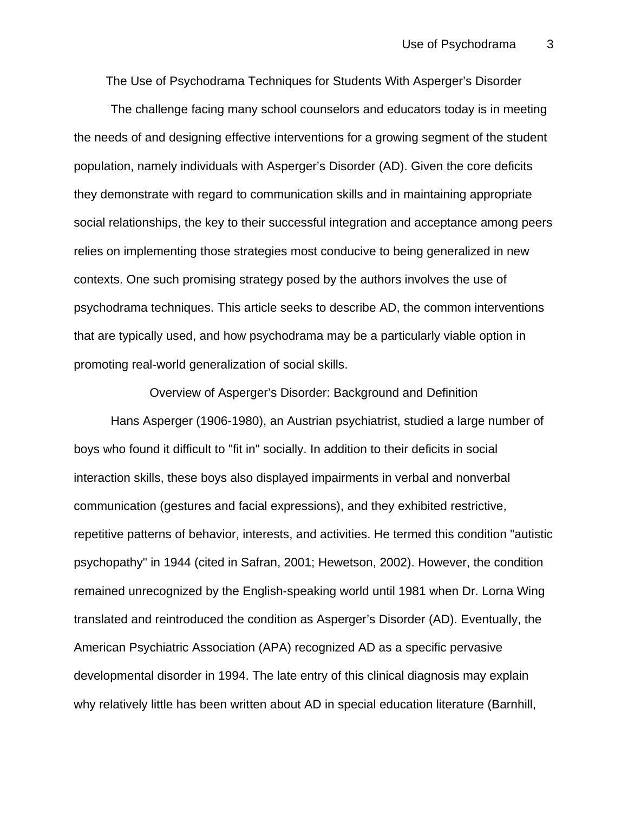The Use of Psychodrama Techniques for Students With Asperger's Disorder

The challenge facing many school counselors and educators today is in meeting the needs of and designing effective interventions for a growing segment of the student population, namely individuals with Asperger's Disorder (AD). Given the core deficits they demonstrate with regard to communication skills and in maintaining appropriate social relationships, the key to their successful integration and acceptance among peers relies on implementing those strategies most conducive to being generalized in new contexts. One such promising strategy posed by the authors involves the use of psychodrama techniques. This article seeks to describe AD, the common interventions that are typically used, and how psychodrama may be a particularly viable option in promoting real-world generalization of social skills.

Overview of Asperger's Disorder: Background and Definition

Hans Asperger (1906-1980), an Austrian psychiatrist, studied a large number of boys who found it difficult to "fit in" socially. In addition to their deficits in social interaction skills, these boys also displayed impairments in verbal and nonverbal communication (gestures and facial expressions), and they exhibited restrictive, repetitive patterns of behavior, interests, and activities. He termed this condition "autistic psychopathy" in 1944 (cited in Safran, 2001; Hewetson, 2002). However, the condition remained unrecognized by the English-speaking world until 1981 when Dr. Lorna Wing translated and reintroduced the condition as Asperger's Disorder (AD). Eventually, the American Psychiatric Association (APA) recognized AD as a specific pervasive developmental disorder in 1994. The late entry of this clinical diagnosis may explain why relatively little has been written about AD in special education literature (Barnhill,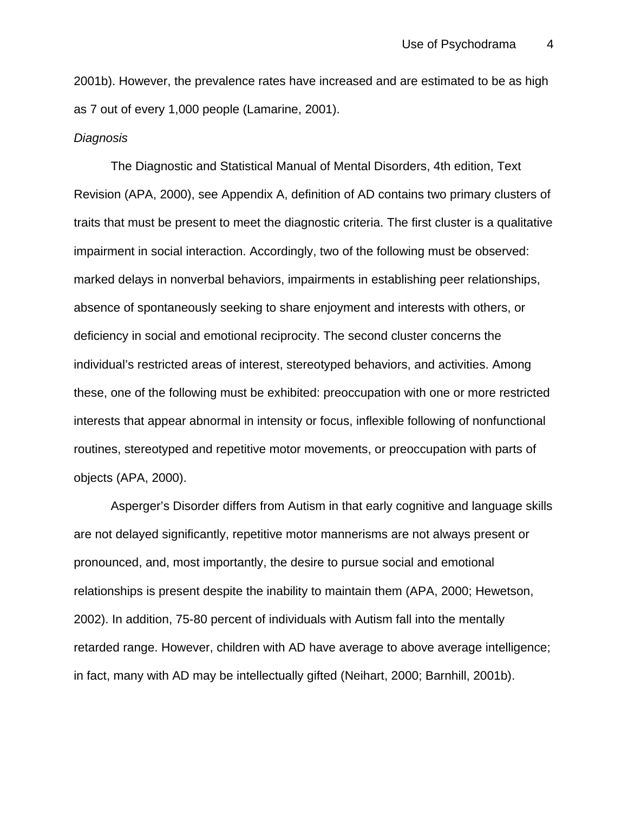2001b). However, the prevalence rates have increased and are estimated to be as high as 7 out of every 1,000 people (Lamarine, 2001).

#### *Diagnosis*

The Diagnostic and Statistical Manual of Mental Disorders, 4th edition, Text Revision (APA, 2000), see Appendix A, definition of AD contains two primary clusters of traits that must be present to meet the diagnostic criteria. The first cluster is a qualitative impairment in social interaction. Accordingly, two of the following must be observed: marked delays in nonverbal behaviors, impairments in establishing peer relationships, absence of spontaneously seeking to share enjoyment and interests with others, or deficiency in social and emotional reciprocity. The second cluster concerns the individual's restricted areas of interest, stereotyped behaviors, and activities. Among these, one of the following must be exhibited: preoccupation with one or more restricted interests that appear abnormal in intensity or focus, inflexible following of nonfunctional routines, stereotyped and repetitive motor movements, or preoccupation with parts of objects (APA, 2000).

Asperger's Disorder differs from Autism in that early cognitive and language skills are not delayed significantly, repetitive motor mannerisms are not always present or pronounced, and, most importantly, the desire to pursue social and emotional relationships is present despite the inability to maintain them (APA, 2000; Hewetson, 2002). In addition, 75-80 percent of individuals with Autism fall into the mentally retarded range. However, children with AD have average to above average intelligence; in fact, many with AD may be intellectually gifted (Neihart, 2000; Barnhill, 2001b).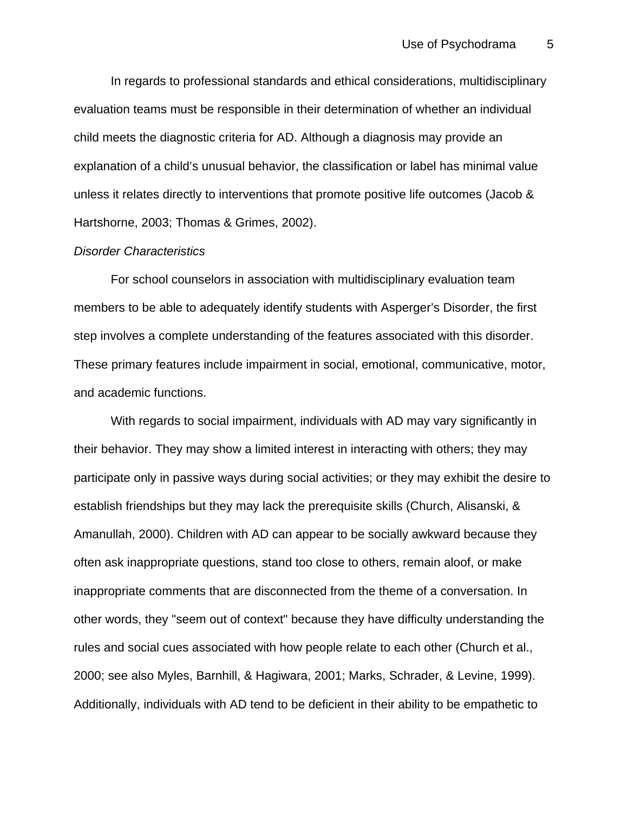In regards to professional standards and ethical considerations, multidisciplinary evaluation teams must be responsible in their determination of whether an individual child meets the diagnostic criteria for AD. Although a diagnosis may provide an explanation of a child's unusual behavior, the classification or label has minimal value unless it relates directly to interventions that promote positive life outcomes (Jacob & Hartshorne, 2003; Thomas & Grimes, 2002).

### *Disorder Characteristics*

For school counselors in association with multidisciplinary evaluation team members to be able to adequately identify students with Asperger's Disorder, the first step involves a complete understanding of the features associated with this disorder. These primary features include impairment in social, emotional, communicative, motor, and academic functions.

With regards to social impairment, individuals with AD may vary significantly in their behavior. They may show a limited interest in interacting with others; they may participate only in passive ways during social activities; or they may exhibit the desire to establish friendships but they may lack the prerequisite skills (Church, Alisanski, & Amanullah, 2000). Children with AD can appear to be socially awkward because they often ask inappropriate questions, stand too close to others, remain aloof, or make inappropriate comments that are disconnected from the theme of a conversation. In other words, they "seem out of context" because they have difficulty understanding the rules and social cues associated with how people relate to each other (Church et al., 2000; see also Myles, Barnhill, & Hagiwara, 2001; Marks, Schrader, & Levine, 1999). Additionally, individuals with AD tend to be deficient in their ability to be empathetic to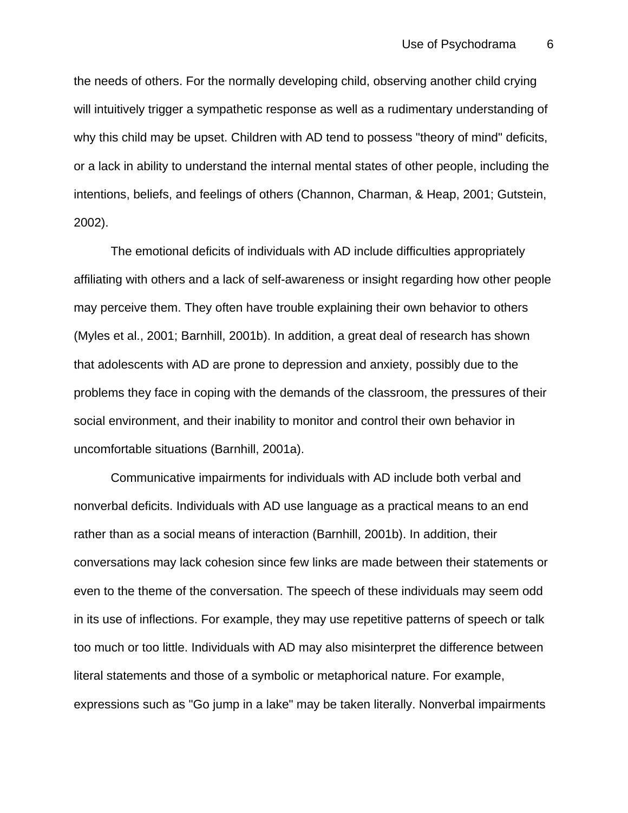the needs of others. For the normally developing child, observing another child crying will intuitively trigger a sympathetic response as well as a rudimentary understanding of why this child may be upset. Children with AD tend to possess "theory of mind" deficits, or a lack in ability to understand the internal mental states of other people, including the intentions, beliefs, and feelings of others (Channon, Charman, & Heap, 2001; Gutstein, 2002).

The emotional deficits of individuals with AD include difficulties appropriately affiliating with others and a lack of self-awareness or insight regarding how other people may perceive them. They often have trouble explaining their own behavior to others (Myles et al., 2001; Barnhill, 2001b). In addition, a great deal of research has shown that adolescents with AD are prone to depression and anxiety, possibly due to the problems they face in coping with the demands of the classroom, the pressures of their social environment, and their inability to monitor and control their own behavior in uncomfortable situations (Barnhill, 2001a).

Communicative impairments for individuals with AD include both verbal and nonverbal deficits. Individuals with AD use language as a practical means to an end rather than as a social means of interaction (Barnhill, 2001b). In addition, their conversations may lack cohesion since few links are made between their statements or even to the theme of the conversation. The speech of these individuals may seem odd in its use of inflections. For example, they may use repetitive patterns of speech or talk too much or too little. Individuals with AD may also misinterpret the difference between literal statements and those of a symbolic or metaphorical nature. For example, expressions such as "Go jump in a lake" may be taken literally. Nonverbal impairments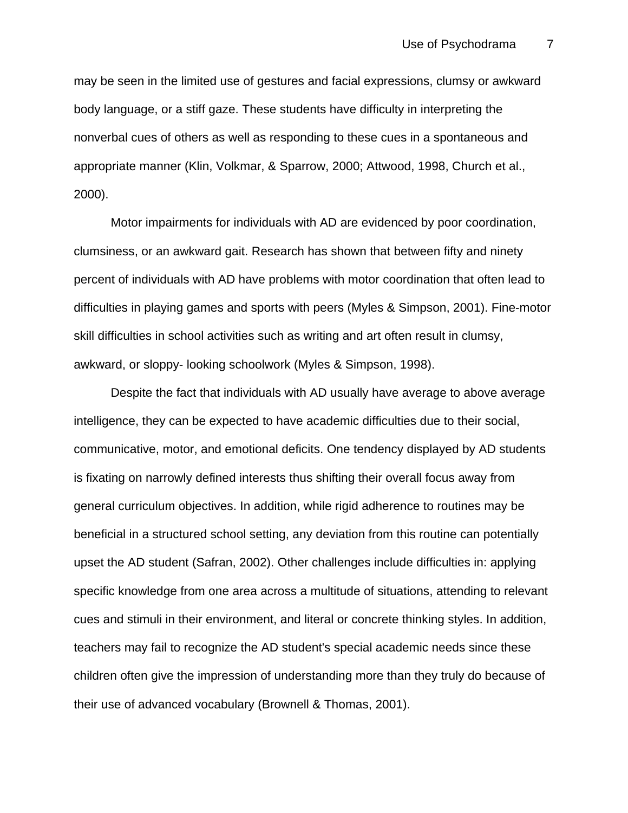may be seen in the limited use of gestures and facial expressions, clumsy or awkward body language, or a stiff gaze. These students have difficulty in interpreting the nonverbal cues of others as well as responding to these cues in a spontaneous and appropriate manner (Klin, Volkmar, & Sparrow, 2000; Attwood, 1998, Church et al., 2000).

Motor impairments for individuals with AD are evidenced by poor coordination, clumsiness, or an awkward gait. Research has shown that between fifty and ninety percent of individuals with AD have problems with motor coordination that often lead to difficulties in playing games and sports with peers (Myles & Simpson, 2001). Fine-motor skill difficulties in school activities such as writing and art often result in clumsy, awkward, or sloppy- looking schoolwork (Myles & Simpson, 1998).

Despite the fact that individuals with AD usually have average to above average intelligence, they can be expected to have academic difficulties due to their social, communicative, motor, and emotional deficits. One tendency displayed by AD students is fixating on narrowly defined interests thus shifting their overall focus away from general curriculum objectives. In addition, while rigid adherence to routines may be beneficial in a structured school setting, any deviation from this routine can potentially upset the AD student (Safran, 2002). Other challenges include difficulties in: applying specific knowledge from one area across a multitude of situations, attending to relevant cues and stimuli in their environment, and literal or concrete thinking styles. In addition, teachers may fail to recognize the AD student's special academic needs since these children often give the impression of understanding more than they truly do because of their use of advanced vocabulary (Brownell & Thomas, 2001).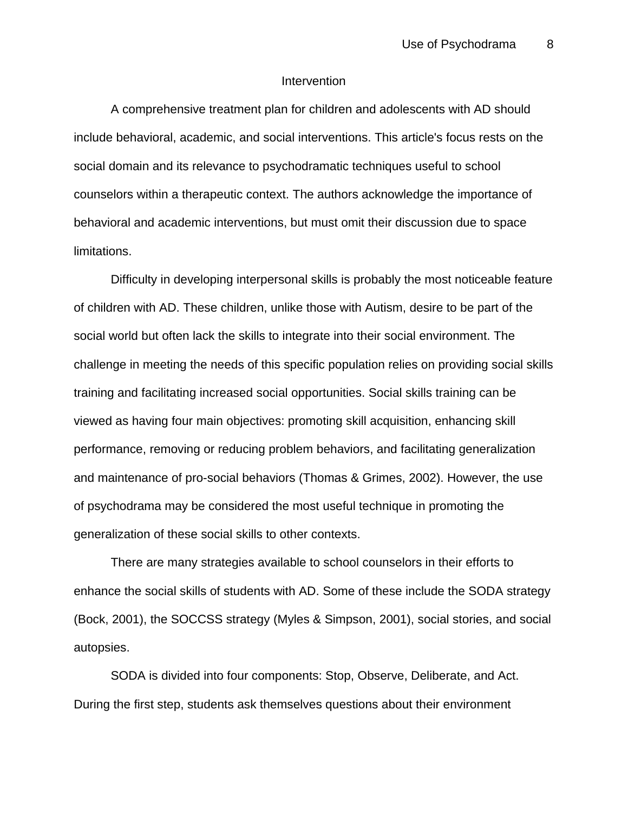### **Intervention**

A comprehensive treatment plan for children and adolescents with AD should include behavioral, academic, and social interventions. This article's focus rests on the social domain and its relevance to psychodramatic techniques useful to school counselors within a therapeutic context. The authors acknowledge the importance of behavioral and academic interventions, but must omit their discussion due to space limitations.

Difficulty in developing interpersonal skills is probably the most noticeable feature of children with AD. These children, unlike those with Autism, desire to be part of the social world but often lack the skills to integrate into their social environment. The challenge in meeting the needs of this specific population relies on providing social skills training and facilitating increased social opportunities. Social skills training can be viewed as having four main objectives: promoting skill acquisition, enhancing skill performance, removing or reducing problem behaviors, and facilitating generalization and maintenance of pro-social behaviors (Thomas & Grimes, 2002). However, the use of psychodrama may be considered the most useful technique in promoting the generalization of these social skills to other contexts.

There are many strategies available to school counselors in their efforts to enhance the social skills of students with AD. Some of these include the SODA strategy (Bock, 2001), the SOCCSS strategy (Myles & Simpson, 2001), social stories, and social autopsies.

SODA is divided into four components: Stop, Observe, Deliberate, and Act. During the first step, students ask themselves questions about their environment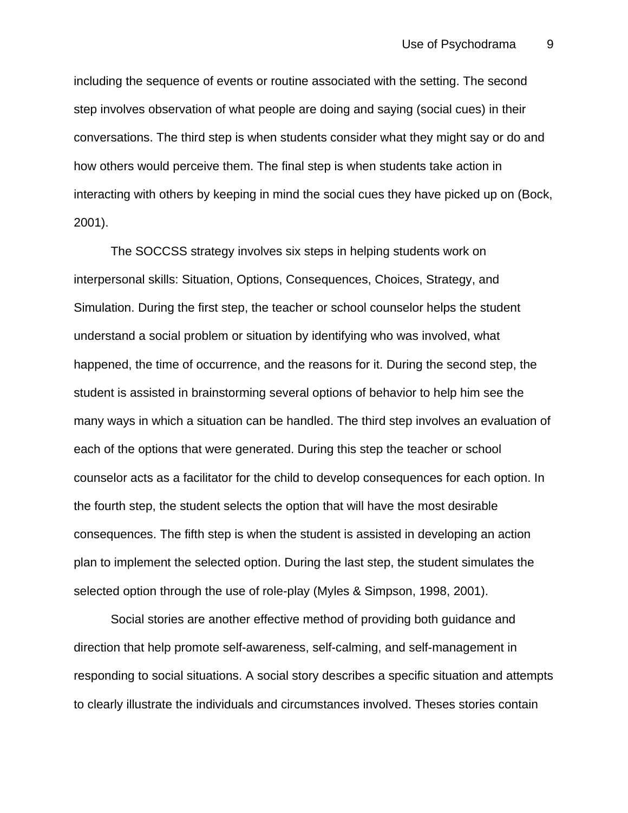including the sequence of events or routine associated with the setting. The second step involves observation of what people are doing and saying (social cues) in their conversations. The third step is when students consider what they might say or do and how others would perceive them. The final step is when students take action in interacting with others by keeping in mind the social cues they have picked up on (Bock, 2001).

The SOCCSS strategy involves six steps in helping students work on interpersonal skills: Situation, Options, Consequences, Choices, Strategy, and Simulation. During the first step, the teacher or school counselor helps the student understand a social problem or situation by identifying who was involved, what happened, the time of occurrence, and the reasons for it. During the second step, the student is assisted in brainstorming several options of behavior to help him see the many ways in which a situation can be handled. The third step involves an evaluation of each of the options that were generated. During this step the teacher or school counselor acts as a facilitator for the child to develop consequences for each option. In the fourth step, the student selects the option that will have the most desirable consequences. The fifth step is when the student is assisted in developing an action plan to implement the selected option. During the last step, the student simulates the selected option through the use of role-play (Myles & Simpson, 1998, 2001).

Social stories are another effective method of providing both guidance and direction that help promote self-awareness, self-calming, and self-management in responding to social situations. A social story describes a specific situation and attempts to clearly illustrate the individuals and circumstances involved. Theses stories contain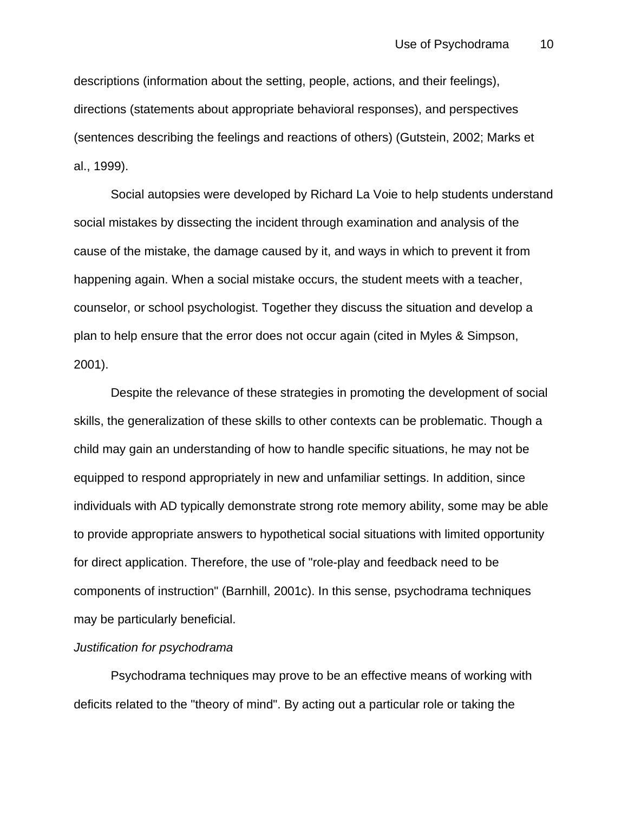descriptions (information about the setting, people, actions, and their feelings), directions (statements about appropriate behavioral responses), and perspectives (sentences describing the feelings and reactions of others) (Gutstein, 2002; Marks et al., 1999).

Social autopsies were developed by Richard La Voie to help students understand social mistakes by dissecting the incident through examination and analysis of the cause of the mistake, the damage caused by it, and ways in which to prevent it from happening again. When a social mistake occurs, the student meets with a teacher, counselor, or school psychologist. Together they discuss the situation and develop a plan to help ensure that the error does not occur again (cited in Myles & Simpson, 2001).

Despite the relevance of these strategies in promoting the development of social skills, the generalization of these skills to other contexts can be problematic. Though a child may gain an understanding of how to handle specific situations, he may not be equipped to respond appropriately in new and unfamiliar settings. In addition, since individuals with AD typically demonstrate strong rote memory ability, some may be able to provide appropriate answers to hypothetical social situations with limited opportunity for direct application. Therefore, the use of "role-play and feedback need to be components of instruction" (Barnhill, 2001c). In this sense, psychodrama techniques may be particularly beneficial.

## *Justification for psychodrama*

Psychodrama techniques may prove to be an effective means of working with deficits related to the "theory of mind". By acting out a particular role or taking the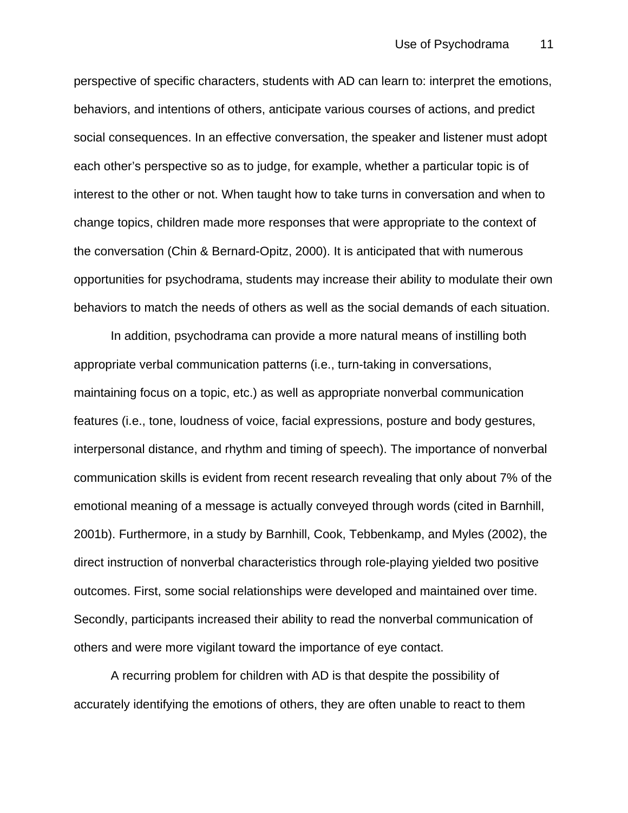perspective of specific characters, students with AD can learn to: interpret the emotions, behaviors, and intentions of others, anticipate various courses of actions, and predict social consequences. In an effective conversation, the speaker and listener must adopt each other's perspective so as to judge, for example, whether a particular topic is of interest to the other or not. When taught how to take turns in conversation and when to change topics, children made more responses that were appropriate to the context of the conversation (Chin & Bernard-Opitz, 2000). It is anticipated that with numerous opportunities for psychodrama, students may increase their ability to modulate their own behaviors to match the needs of others as well as the social demands of each situation.

In addition, psychodrama can provide a more natural means of instilling both appropriate verbal communication patterns (i.e., turn-taking in conversations, maintaining focus on a topic, etc.) as well as appropriate nonverbal communication features (i.e., tone, loudness of voice, facial expressions, posture and body gestures, interpersonal distance, and rhythm and timing of speech). The importance of nonverbal communication skills is evident from recent research revealing that only about 7% of the emotional meaning of a message is actually conveyed through words (cited in Barnhill, 2001b). Furthermore, in a study by Barnhill, Cook, Tebbenkamp, and Myles (2002), the direct instruction of nonverbal characteristics through role-playing yielded two positive outcomes. First, some social relationships were developed and maintained over time. Secondly, participants increased their ability to read the nonverbal communication of others and were more vigilant toward the importance of eye contact.

A recurring problem for children with AD is that despite the possibility of accurately identifying the emotions of others, they are often unable to react to them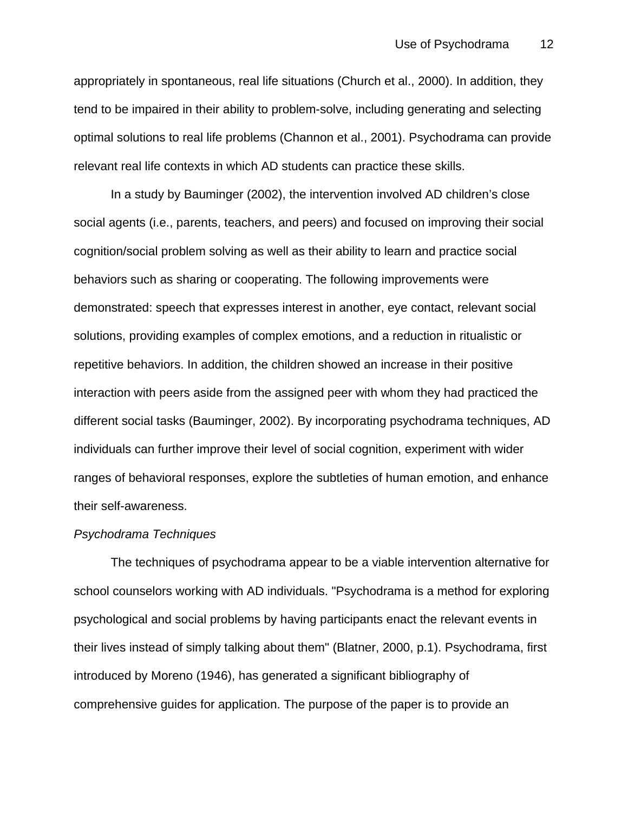appropriately in spontaneous, real life situations (Church et al., 2000). In addition, they tend to be impaired in their ability to problem-solve, including generating and selecting optimal solutions to real life problems (Channon et al., 2001). Psychodrama can provide relevant real life contexts in which AD students can practice these skills.

In a study by Bauminger (2002), the intervention involved AD children's close social agents (i.e., parents, teachers, and peers) and focused on improving their social cognition/social problem solving as well as their ability to learn and practice social behaviors such as sharing or cooperating. The following improvements were demonstrated: speech that expresses interest in another, eye contact, relevant social solutions, providing examples of complex emotions, and a reduction in ritualistic or repetitive behaviors. In addition, the children showed an increase in their positive interaction with peers aside from the assigned peer with whom they had practiced the different social tasks (Bauminger, 2002). By incorporating psychodrama techniques, AD individuals can further improve their level of social cognition, experiment with wider ranges of behavioral responses, explore the subtleties of human emotion, and enhance their self-awareness.

### *Psychodrama Techniques*

The techniques of psychodrama appear to be a viable intervention alternative for school counselors working with AD individuals. "Psychodrama is a method for exploring psychological and social problems by having participants enact the relevant events in their lives instead of simply talking about them" (Blatner, 2000, p.1). Psychodrama, first introduced by Moreno (1946), has generated a significant bibliography of comprehensive guides for application. The purpose of the paper is to provide an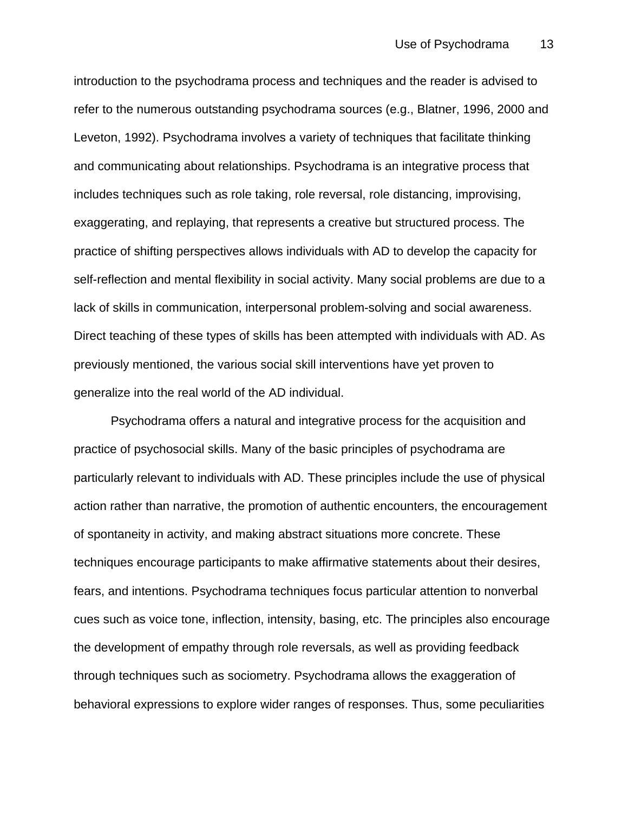introduction to the psychodrama process and techniques and the reader is advised to refer to the numerous outstanding psychodrama sources (e.g., Blatner, 1996, 2000 and Leveton, 1992). Psychodrama involves a variety of techniques that facilitate thinking and communicating about relationships. Psychodrama is an integrative process that includes techniques such as role taking, role reversal, role distancing, improvising, exaggerating, and replaying, that represents a creative but structured process. The practice of shifting perspectives allows individuals with AD to develop the capacity for self-reflection and mental flexibility in social activity. Many social problems are due to a lack of skills in communication, interpersonal problem-solving and social awareness. Direct teaching of these types of skills has been attempted with individuals with AD. As previously mentioned, the various social skill interventions have yet proven to generalize into the real world of the AD individual.

Psychodrama offers a natural and integrative process for the acquisition and practice of psychosocial skills. Many of the basic principles of psychodrama are particularly relevant to individuals with AD. These principles include the use of physical action rather than narrative, the promotion of authentic encounters, the encouragement of spontaneity in activity, and making abstract situations more concrete. These techniques encourage participants to make affirmative statements about their desires, fears, and intentions. Psychodrama techniques focus particular attention to nonverbal cues such as voice tone, inflection, intensity, basing, etc. The principles also encourage the development of empathy through role reversals, as well as providing feedback through techniques such as sociometry. Psychodrama allows the exaggeration of behavioral expressions to explore wider ranges of responses. Thus, some peculiarities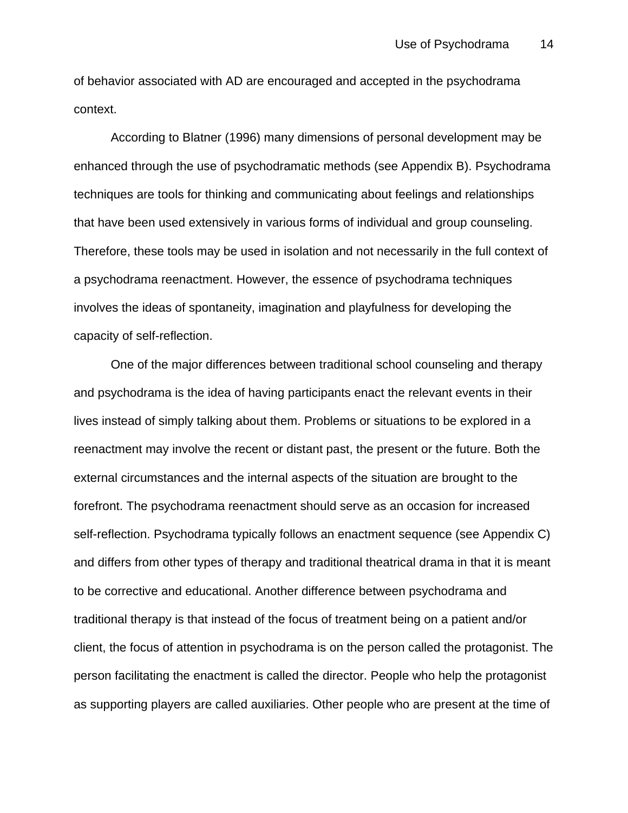of behavior associated with AD are encouraged and accepted in the psychodrama context.

According to Blatner (1996) many dimensions of personal development may be enhanced through the use of psychodramatic methods (see Appendix B). Psychodrama techniques are tools for thinking and communicating about feelings and relationships that have been used extensively in various forms of individual and group counseling. Therefore, these tools may be used in isolation and not necessarily in the full context of a psychodrama reenactment. However, the essence of psychodrama techniques involves the ideas of spontaneity, imagination and playfulness for developing the capacity of self-reflection.

One of the major differences between traditional school counseling and therapy and psychodrama is the idea of having participants enact the relevant events in their lives instead of simply talking about them. Problems or situations to be explored in a reenactment may involve the recent or distant past, the present or the future. Both the external circumstances and the internal aspects of the situation are brought to the forefront. The psychodrama reenactment should serve as an occasion for increased self-reflection. Psychodrama typically follows an enactment sequence (see Appendix C) and differs from other types of therapy and traditional theatrical drama in that it is meant to be corrective and educational. Another difference between psychodrama and traditional therapy is that instead of the focus of treatment being on a patient and/or client, the focus of attention in psychodrama is on the person called the protagonist. The person facilitating the enactment is called the director. People who help the protagonist as supporting players are called auxiliaries. Other people who are present at the time of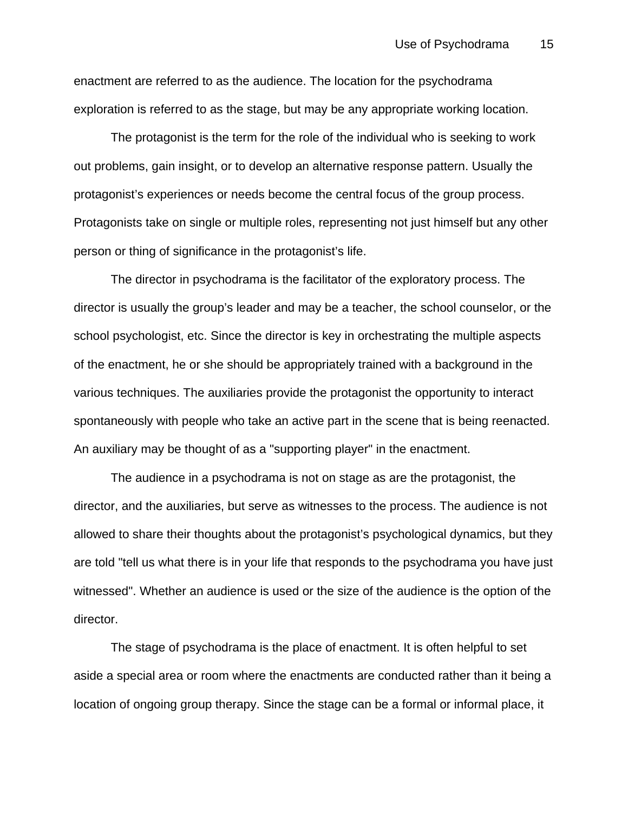enactment are referred to as the audience. The location for the psychodrama exploration is referred to as the stage, but may be any appropriate working location.

The protagonist is the term for the role of the individual who is seeking to work out problems, gain insight, or to develop an alternative response pattern. Usually the protagonist's experiences or needs become the central focus of the group process. Protagonists take on single or multiple roles, representing not just himself but any other person or thing of significance in the protagonist's life.

The director in psychodrama is the facilitator of the exploratory process. The director is usually the group's leader and may be a teacher, the school counselor, or the school psychologist, etc. Since the director is key in orchestrating the multiple aspects of the enactment, he or she should be appropriately trained with a background in the various techniques. The auxiliaries provide the protagonist the opportunity to interact spontaneously with people who take an active part in the scene that is being reenacted. An auxiliary may be thought of as a "supporting player" in the enactment.

The audience in a psychodrama is not on stage as are the protagonist, the director, and the auxiliaries, but serve as witnesses to the process. The audience is not allowed to share their thoughts about the protagonist's psychological dynamics, but they are told "tell us what there is in your life that responds to the psychodrama you have just witnessed". Whether an audience is used or the size of the audience is the option of the director.

The stage of psychodrama is the place of enactment. It is often helpful to set aside a special area or room where the enactments are conducted rather than it being a location of ongoing group therapy. Since the stage can be a formal or informal place, it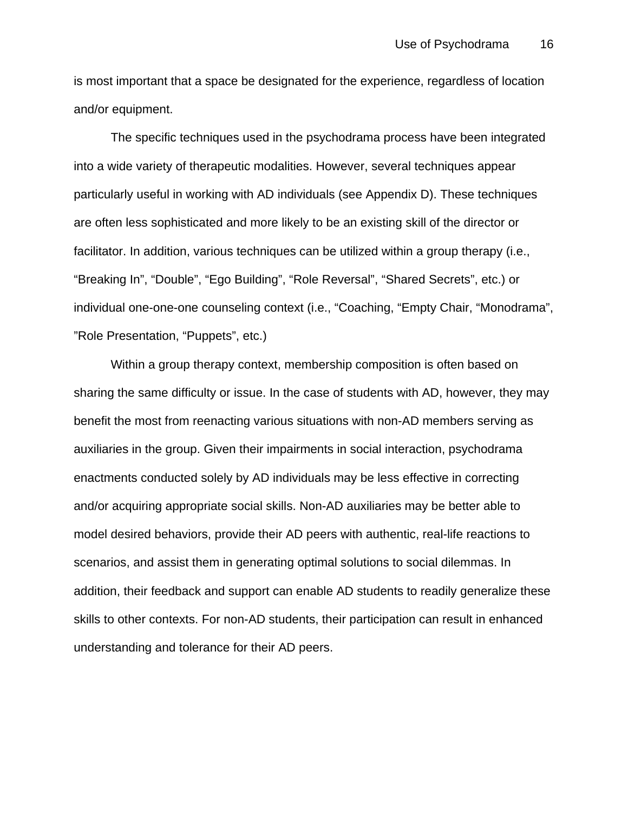is most important that a space be designated for the experience, regardless of location and/or equipment.

The specific techniques used in the psychodrama process have been integrated into a wide variety of therapeutic modalities. However, several techniques appear particularly useful in working with AD individuals (see Appendix D). These techniques are often less sophisticated and more likely to be an existing skill of the director or facilitator. In addition, various techniques can be utilized within a group therapy (i.e., "Breaking In", "Double", "Ego Building", "Role Reversal", "Shared Secrets", etc.) or individual one-one-one counseling context (i.e., "Coaching, "Empty Chair, "Monodrama", "Role Presentation, "Puppets", etc.)

Within a group therapy context, membership composition is often based on sharing the same difficulty or issue. In the case of students with AD, however, they may benefit the most from reenacting various situations with non-AD members serving as auxiliaries in the group. Given their impairments in social interaction, psychodrama enactments conducted solely by AD individuals may be less effective in correcting and/or acquiring appropriate social skills. Non-AD auxiliaries may be better able to model desired behaviors, provide their AD peers with authentic, real-life reactions to scenarios, and assist them in generating optimal solutions to social dilemmas. In addition, their feedback and support can enable AD students to readily generalize these skills to other contexts. For non-AD students, their participation can result in enhanced understanding and tolerance for their AD peers.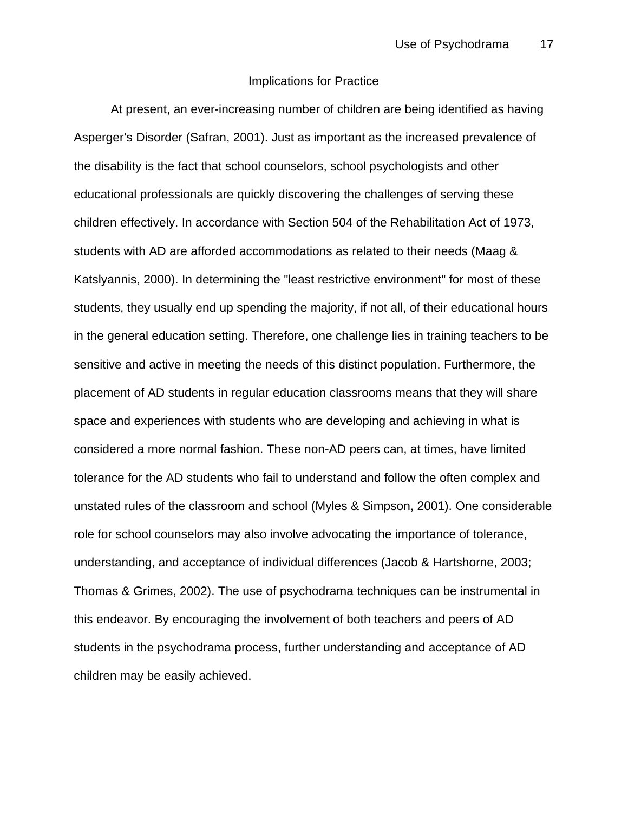### Implications for Practice

At present, an ever-increasing number of children are being identified as having Asperger's Disorder (Safran, 2001). Just as important as the increased prevalence of the disability is the fact that school counselors, school psychologists and other educational professionals are quickly discovering the challenges of serving these children effectively. In accordance with Section 504 of the Rehabilitation Act of 1973, students with AD are afforded accommodations as related to their needs (Maag & Katslyannis, 2000). In determining the "least restrictive environment" for most of these students, they usually end up spending the majority, if not all, of their educational hours in the general education setting. Therefore, one challenge lies in training teachers to be sensitive and active in meeting the needs of this distinct population. Furthermore, the placement of AD students in regular education classrooms means that they will share space and experiences with students who are developing and achieving in what is considered a more normal fashion. These non-AD peers can, at times, have limited tolerance for the AD students who fail to understand and follow the often complex and unstated rules of the classroom and school (Myles & Simpson, 2001). One considerable role for school counselors may also involve advocating the importance of tolerance, understanding, and acceptance of individual differences (Jacob & Hartshorne, 2003; Thomas & Grimes, 2002). The use of psychodrama techniques can be instrumental in this endeavor. By encouraging the involvement of both teachers and peers of AD students in the psychodrama process, further understanding and acceptance of AD children may be easily achieved.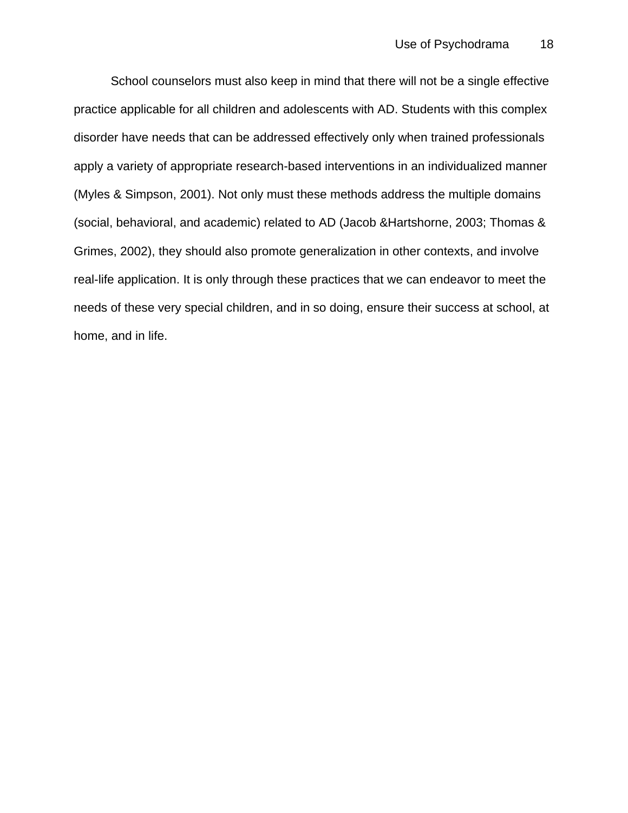School counselors must also keep in mind that there will not be a single effective practice applicable for all children and adolescents with AD. Students with this complex disorder have needs that can be addressed effectively only when trained professionals apply a variety of appropriate research-based interventions in an individualized manner (Myles & Simpson, 2001). Not only must these methods address the multiple domains (social, behavioral, and academic) related to AD (Jacob &Hartshorne, 2003; Thomas & Grimes, 2002), they should also promote generalization in other contexts, and involve real-life application. It is only through these practices that we can endeavor to meet the needs of these very special children, and in so doing, ensure their success at school, at home, and in life.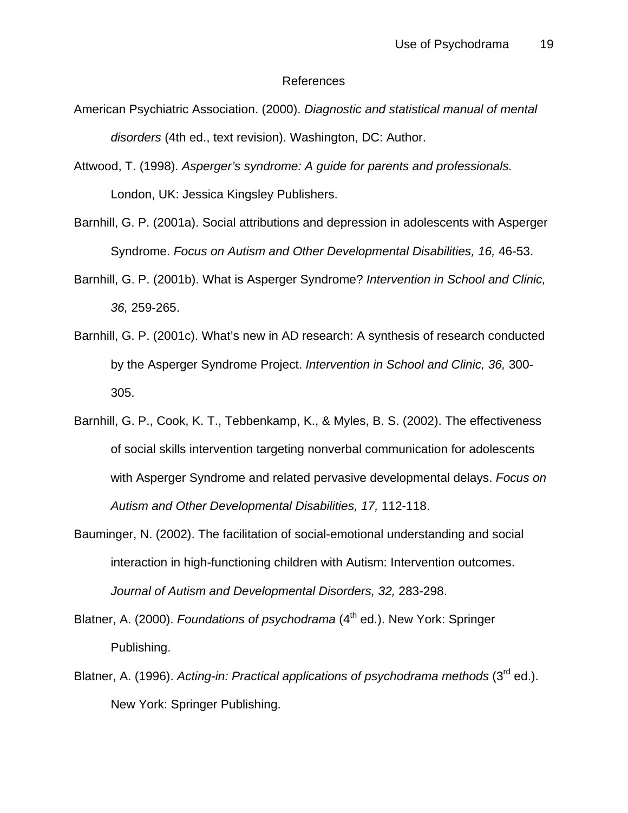#### References

- American Psychiatric Association. (2000). *Diagnostic and statistical manual of mental disorders* (4th ed., text revision). Washington, DC: Author.
- Attwood, T. (1998). *Asperger's syndrome: A guide for parents and professionals.* London, UK: Jessica Kingsley Publishers.
- Barnhill, G. P. (2001a). Social attributions and depression in adolescents with Asperger Syndrome. *Focus on Autism and Other Developmental Disabilities, 16,* 46-53.
- Barnhill, G. P. (2001b). What is Asperger Syndrome? *Intervention in School and Clinic, 36,* 259-265.
- Barnhill, G. P. (2001c). What's new in AD research: A synthesis of research conducted by the Asperger Syndrome Project. *Intervention in School and Clinic, 36,* 300- 305.
- Barnhill, G. P., Cook, K. T., Tebbenkamp, K., & Myles, B. S. (2002). The effectiveness of social skills intervention targeting nonverbal communication for adolescents with Asperger Syndrome and related pervasive developmental delays. *Focus on Autism and Other Developmental Disabilities, 17,* 112-118.
- Bauminger, N. (2002). The facilitation of social-emotional understanding and social interaction in high-functioning children with Autism: Intervention outcomes. *Journal of Autism and Developmental Disorders, 32,* 283-298.
- Blatner, A. (2000). *Foundations of psychodrama* (4<sup>th</sup> ed.). New York: Springer Publishing.
- Blatner, A. (1996). *Acting-in: Practical applications of psychodrama methods* (3<sup>rd</sup> ed.). New York: Springer Publishing.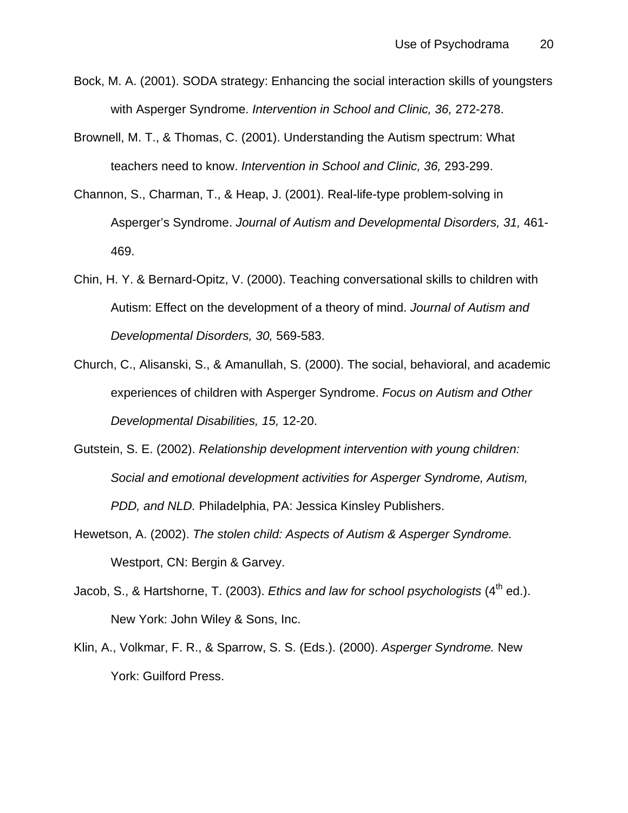- Bock, M. A. (2001). SODA strategy: Enhancing the social interaction skills of youngsters with Asperger Syndrome. *Intervention in School and Clinic, 36,* 272-278.
- Brownell, M. T., & Thomas, C. (2001). Understanding the Autism spectrum: What teachers need to know. *Intervention in School and Clinic, 36,* 293-299.
- Channon, S., Charman, T., & Heap, J. (2001). Real-life-type problem-solving in Asperger's Syndrome. *Journal of Autism and Developmental Disorders, 31,* 461- 469.
- Chin, H. Y. & Bernard-Opitz, V. (2000). Teaching conversational skills to children with Autism: Effect on the development of a theory of mind. *Journal of Autism and Developmental Disorders, 30,* 569-583.
- Church, C., Alisanski, S., & Amanullah, S. (2000). The social, behavioral, and academic experiences of children with Asperger Syndrome. *Focus on Autism and Other Developmental Disabilities, 15,* 12-20.
- Gutstein, S. E. (2002). *Relationship development intervention with young children: Social and emotional development activities for Asperger Syndrome, Autism, PDD, and NLD.* Philadelphia, PA: Jessica Kinsley Publishers.
- Hewetson, A. (2002). *The stolen child: Aspects of Autism & Asperger Syndrome.* Westport, CN: Bergin & Garvey.
- Jacob, S., & Hartshorne, T. (2003). *Ethics and law for school psychologists* (4<sup>th</sup> ed.). New York: John Wiley & Sons, Inc.
- Klin, A., Volkmar, F. R., & Sparrow, S. S. (Eds.). (2000). *Asperger Syndrome.* New York: Guilford Press.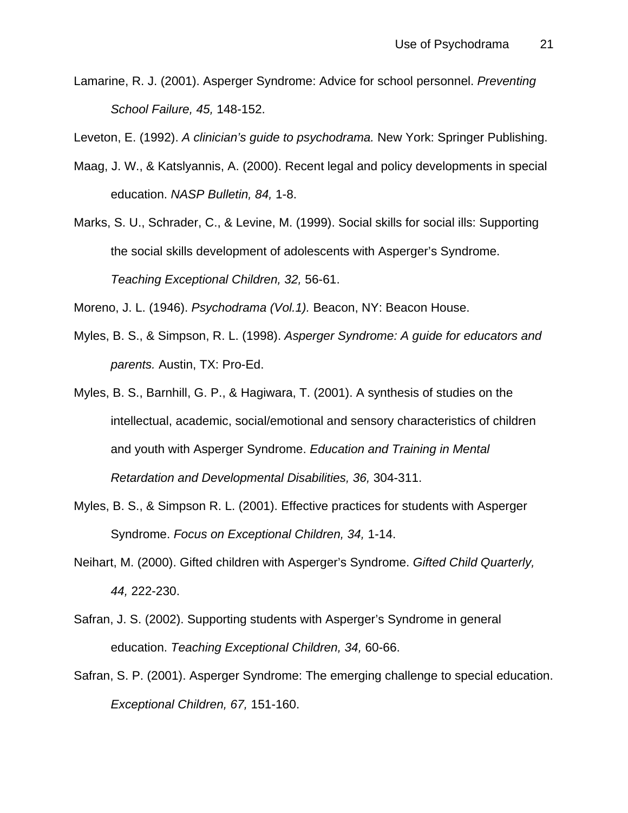Lamarine, R. J. (2001). Asperger Syndrome: Advice for school personnel. *Preventing School Failure, 45,* 148-152.

Leveton, E. (1992). *A clinician's guide to psychodrama.* New York: Springer Publishing.

- Maag, J. W., & Katslyannis, A. (2000). Recent legal and policy developments in special education. *NASP Bulletin, 84,* 1-8.
- Marks, S. U., Schrader, C., & Levine, M. (1999). Social skills for social ills: Supporting the social skills development of adolescents with Asperger's Syndrome. *Teaching Exceptional Children, 32,* 56-61.

Moreno, J. L. (1946). *Psychodrama (Vol.1).* Beacon, NY: Beacon House.

- Myles, B. S., & Simpson, R. L. (1998). *Asperger Syndrome: A guide for educators and parents.* Austin, TX: Pro-Ed.
- Myles, B. S., Barnhill, G. P., & Hagiwara, T. (2001). A synthesis of studies on the intellectual, academic, social/emotional and sensory characteristics of children and youth with Asperger Syndrome. *Education and Training in Mental Retardation and Developmental Disabilities, 36,* 304-311.
- Myles, B. S., & Simpson R. L. (2001). Effective practices for students with Asperger Syndrome. *Focus on Exceptional Children, 34,* 1-14.
- Neihart, M. (2000). Gifted children with Asperger's Syndrome. *Gifted Child Quarterly, 44,* 222-230.
- Safran, J. S. (2002). Supporting students with Asperger's Syndrome in general education. *Teaching Exceptional Children, 34,* 60-66.
- Safran, S. P. (2001). Asperger Syndrome: The emerging challenge to special education. *Exceptional Children, 67,* 151-160.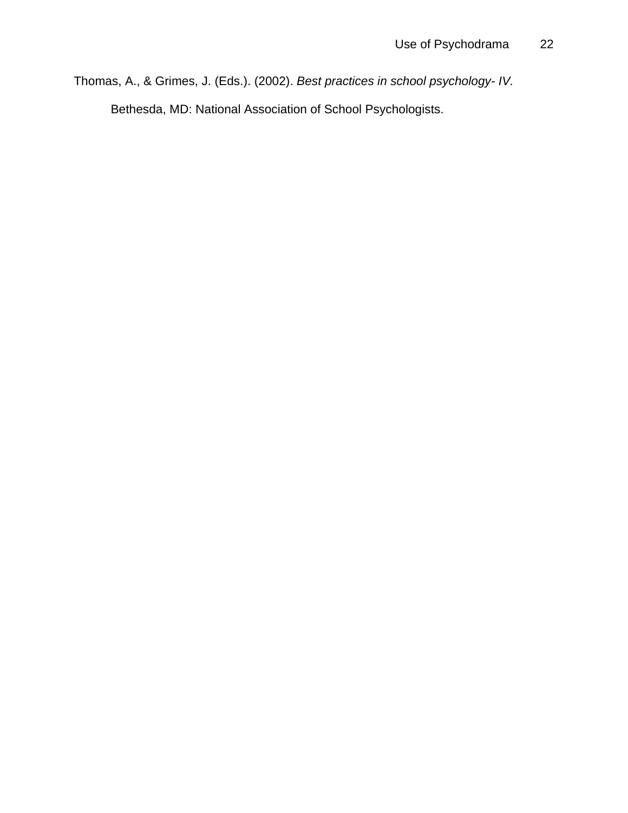Thomas, A., & Grimes, J. (Eds.). (2002). *Best practices in school psychology- IV.* Bethesda, MD: National Association of School Psychologists.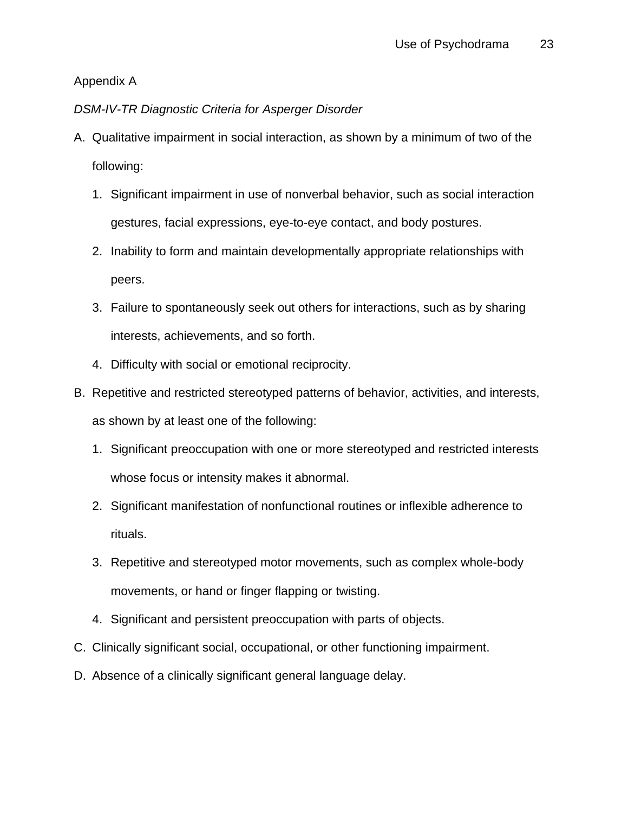## Appendix A

## *DSM-IV-TR Diagnostic Criteria for Asperger Disorder*

- A. Qualitative impairment in social interaction, as shown by a minimum of two of the following:
	- 1. Significant impairment in use of nonverbal behavior, such as social interaction gestures, facial expressions, eye-to-eye contact, and body postures.
	- 2. Inability to form and maintain developmentally appropriate relationships with peers.
	- 3. Failure to spontaneously seek out others for interactions, such as by sharing interests, achievements, and so forth.
	- 4. Difficulty with social or emotional reciprocity.
- B. Repetitive and restricted stereotyped patterns of behavior, activities, and interests, as shown by at least one of the following:
	- 1. Significant preoccupation with one or more stereotyped and restricted interests whose focus or intensity makes it abnormal.
	- 2. Significant manifestation of nonfunctional routines or inflexible adherence to rituals.
	- 3. Repetitive and stereotyped motor movements, such as complex whole-body movements, or hand or finger flapping or twisting.
	- 4. Significant and persistent preoccupation with parts of objects.
- C. Clinically significant social, occupational, or other functioning impairment.
- D. Absence of a clinically significant general language delay.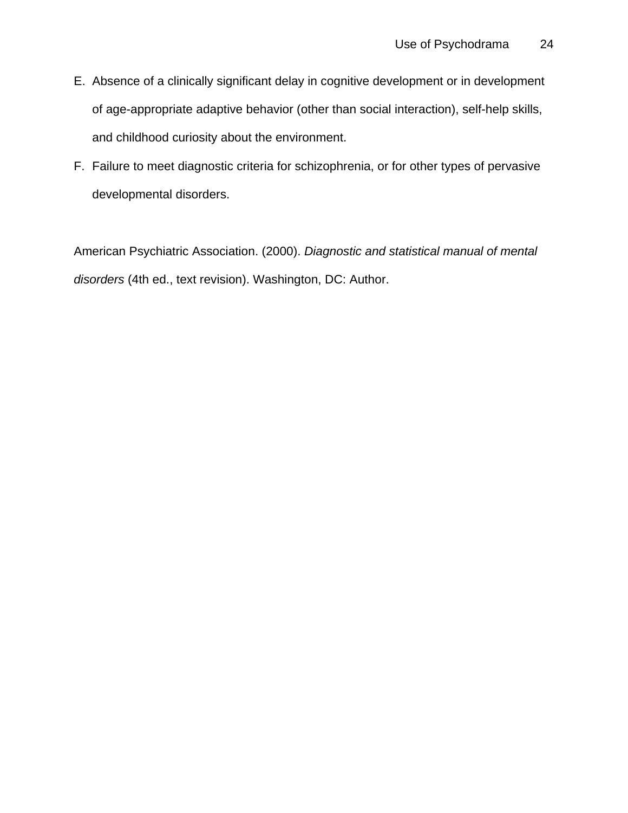- E. Absence of a clinically significant delay in cognitive development or in development of age-appropriate adaptive behavior (other than social interaction), self-help skills, and childhood curiosity about the environment.
- F. Failure to meet diagnostic criteria for schizophrenia, or for other types of pervasive developmental disorders.

American Psychiatric Association. (2000). *Diagnostic and statistical manual of mental disorders* (4th ed., text revision). Washington, DC: Author.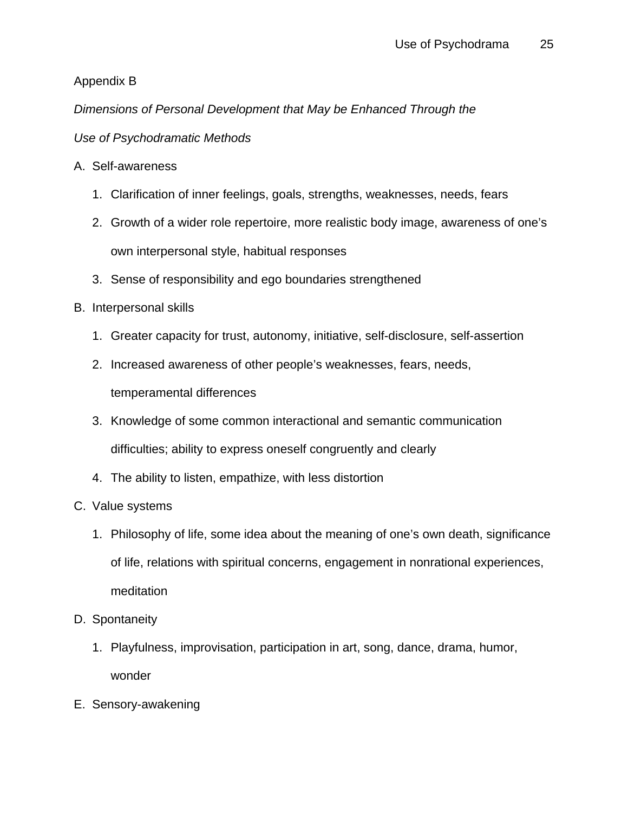# Appendix B

*Dimensions of Personal Development that May be Enhanced Through the* 

# *Use of Psychodramatic Methods*

- A. Self-awareness
	- 1. Clarification of inner feelings, goals, strengths, weaknesses, needs, fears
	- 2. Growth of a wider role repertoire, more realistic body image, awareness of one's own interpersonal style, habitual responses
	- 3. Sense of responsibility and ego boundaries strengthened
- B. Interpersonal skills
	- 1. Greater capacity for trust, autonomy, initiative, self-disclosure, self-assertion
	- 2. Increased awareness of other people's weaknesses, fears, needs,

temperamental differences

- 3. Knowledge of some common interactional and semantic communication difficulties; ability to express oneself congruently and clearly
- 4. The ability to listen, empathize, with less distortion
- C. Value systems
	- 1. Philosophy of life, some idea about the meaning of one's own death, significance of life, relations with spiritual concerns, engagement in nonrational experiences, meditation
- D. Spontaneity
	- 1. Playfulness, improvisation, participation in art, song, dance, drama, humor, wonder
- E. Sensory-awakening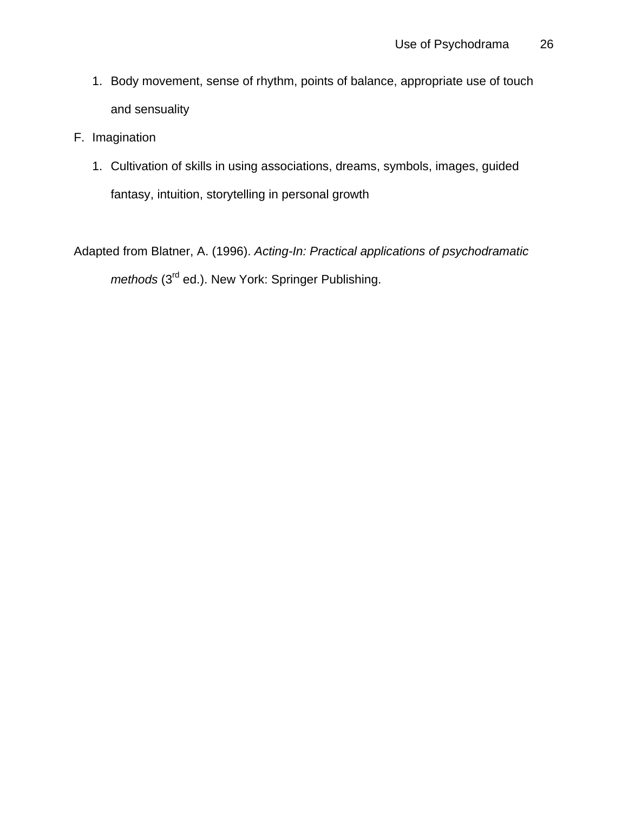- 1. Body movement, sense of rhythm, points of balance, appropriate use of touch and sensuality
- F. Imagination
	- 1. Cultivation of skills in using associations, dreams, symbols, images, guided fantasy, intuition, storytelling in personal growth

Adapted from Blatner, A. (1996). *Acting-In: Practical applications of psychodramatic methods* (3<sup>rd</sup> ed.). New York: Springer Publishing.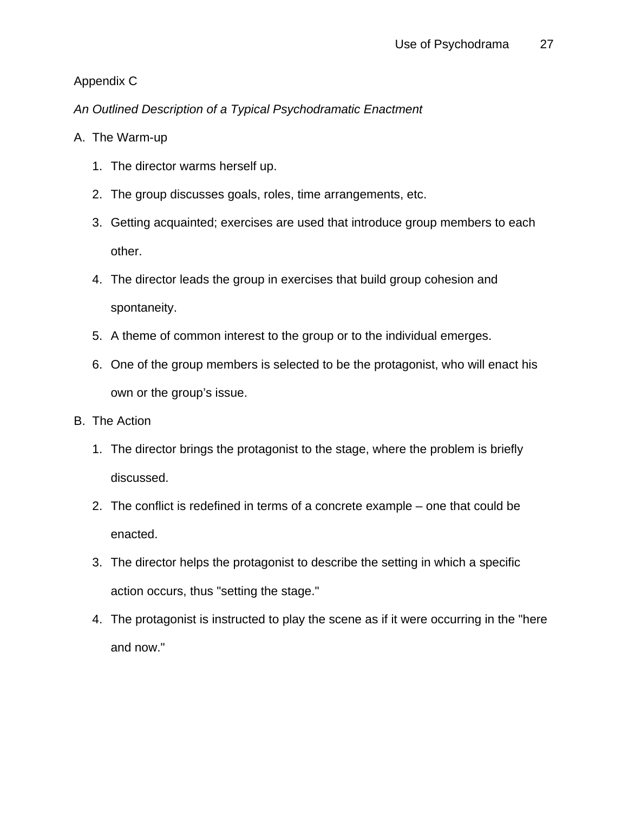# Appendix C

*An Outlined Description of a Typical Psychodramatic Enactment* 

# A. The Warm-up

- 1. The director warms herself up.
- 2. The group discusses goals, roles, time arrangements, etc.
- 3. Getting acquainted; exercises are used that introduce group members to each other.
- 4. The director leads the group in exercises that build group cohesion and spontaneity.
- 5. A theme of common interest to the group or to the individual emerges.
- 6. One of the group members is selected to be the protagonist, who will enact his own or the group's issue.
- B. The Action
	- 1. The director brings the protagonist to the stage, where the problem is briefly discussed.
	- 2. The conflict is redefined in terms of a concrete example one that could be enacted.
	- 3. The director helps the protagonist to describe the setting in which a specific action occurs, thus "setting the stage."
	- 4. The protagonist is instructed to play the scene as if it were occurring in the "here and now."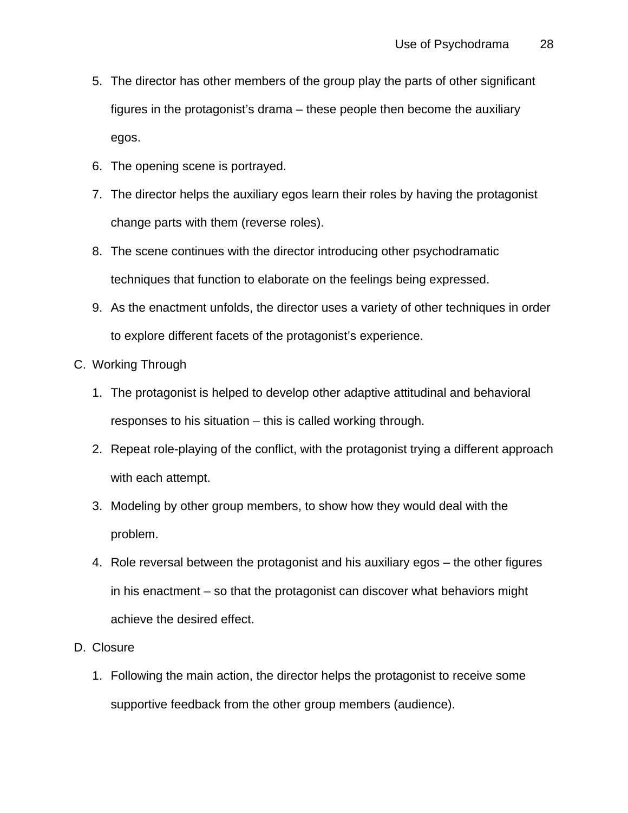- 5. The director has other members of the group play the parts of other significant figures in the protagonist's drama – these people then become the auxiliary egos.
- 6. The opening scene is portrayed.
- 7. The director helps the auxiliary egos learn their roles by having the protagonist change parts with them (reverse roles).
- 8. The scene continues with the director introducing other psychodramatic techniques that function to elaborate on the feelings being expressed.
- 9. As the enactment unfolds, the director uses a variety of other techniques in order to explore different facets of the protagonist's experience.
- C. Working Through
	- 1. The protagonist is helped to develop other adaptive attitudinal and behavioral responses to his situation – this is called working through.
	- 2. Repeat role-playing of the conflict, with the protagonist trying a different approach with each attempt.
	- 3. Modeling by other group members, to show how they would deal with the problem.
	- 4. Role reversal between the protagonist and his auxiliary egos the other figures in his enactment – so that the protagonist can discover what behaviors might achieve the desired effect.
- D. Closure
	- 1. Following the main action, the director helps the protagonist to receive some supportive feedback from the other group members (audience).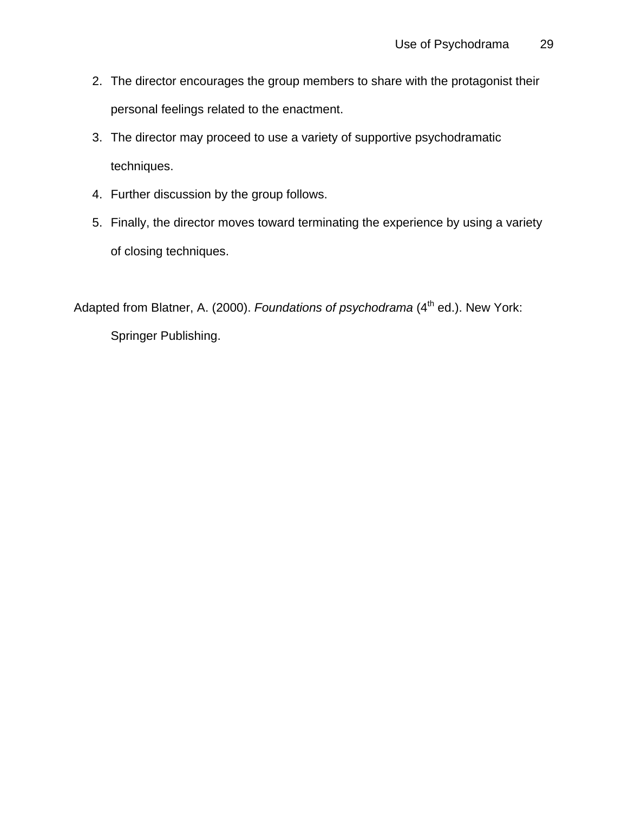- 2. The director encourages the group members to share with the protagonist their personal feelings related to the enactment.
- 3. The director may proceed to use a variety of supportive psychodramatic techniques.
- 4. Further discussion by the group follows.
- 5. Finally, the director moves toward terminating the experience by using a variety of closing techniques.

Adapted from Blatner, A. (2000). *Foundations of psychodrama* (4<sup>th</sup> ed.). New York: Springer Publishing.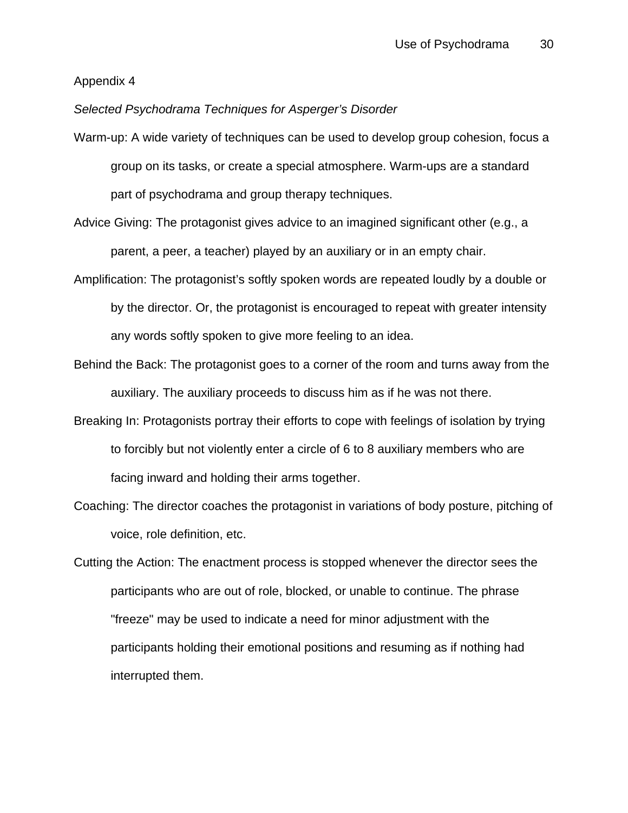### Appendix 4

### *Selected Psychodrama Techniques for Asperger's Disorder*

- Warm-up: A wide variety of techniques can be used to develop group cohesion, focus a group on its tasks, or create a special atmosphere. Warm-ups are a standard part of psychodrama and group therapy techniques.
- Advice Giving: The protagonist gives advice to an imagined significant other (e.g., a parent, a peer, a teacher) played by an auxiliary or in an empty chair.
- Amplification: The protagonist's softly spoken words are repeated loudly by a double or by the director. Or, the protagonist is encouraged to repeat with greater intensity any words softly spoken to give more feeling to an idea.
- Behind the Back: The protagonist goes to a corner of the room and turns away from the auxiliary. The auxiliary proceeds to discuss him as if he was not there.
- Breaking In: Protagonists portray their efforts to cope with feelings of isolation by trying to forcibly but not violently enter a circle of 6 to 8 auxiliary members who are facing inward and holding their arms together.
- Coaching: The director coaches the protagonist in variations of body posture, pitching of voice, role definition, etc.
- Cutting the Action: The enactment process is stopped whenever the director sees the participants who are out of role, blocked, or unable to continue. The phrase "freeze" may be used to indicate a need for minor adjustment with the participants holding their emotional positions and resuming as if nothing had interrupted them.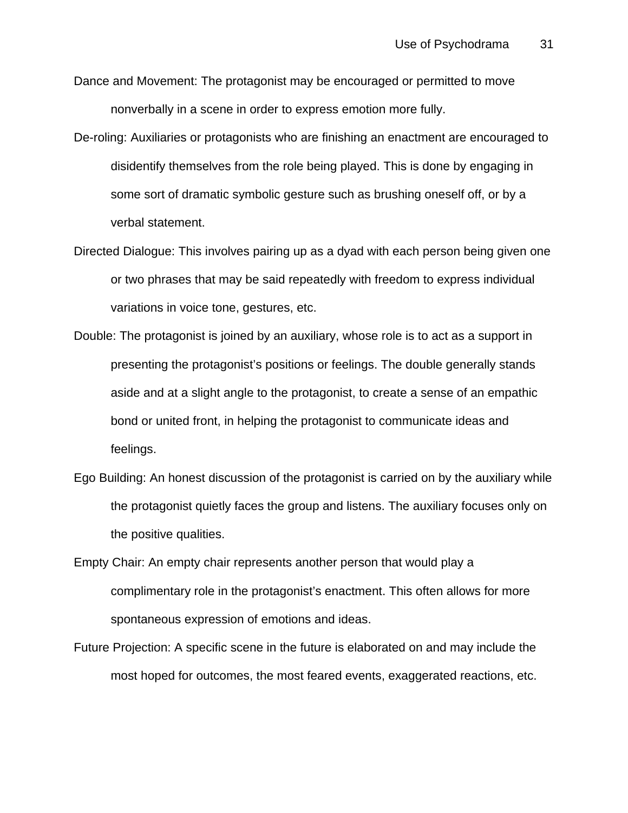- Dance and Movement: The protagonist may be encouraged or permitted to move nonverbally in a scene in order to express emotion more fully.
- De-roling: Auxiliaries or protagonists who are finishing an enactment are encouraged to disidentify themselves from the role being played. This is done by engaging in some sort of dramatic symbolic gesture such as brushing oneself off, or by a verbal statement.
- Directed Dialogue: This involves pairing up as a dyad with each person being given one or two phrases that may be said repeatedly with freedom to express individual variations in voice tone, gestures, etc.
- Double: The protagonist is joined by an auxiliary, whose role is to act as a support in presenting the protagonist's positions or feelings. The double generally stands aside and at a slight angle to the protagonist, to create a sense of an empathic bond or united front, in helping the protagonist to communicate ideas and feelings.
- Ego Building: An honest discussion of the protagonist is carried on by the auxiliary while the protagonist quietly faces the group and listens. The auxiliary focuses only on the positive qualities.
- Empty Chair: An empty chair represents another person that would play a complimentary role in the protagonist's enactment. This often allows for more spontaneous expression of emotions and ideas.
- Future Projection: A specific scene in the future is elaborated on and may include the most hoped for outcomes, the most feared events, exaggerated reactions, etc.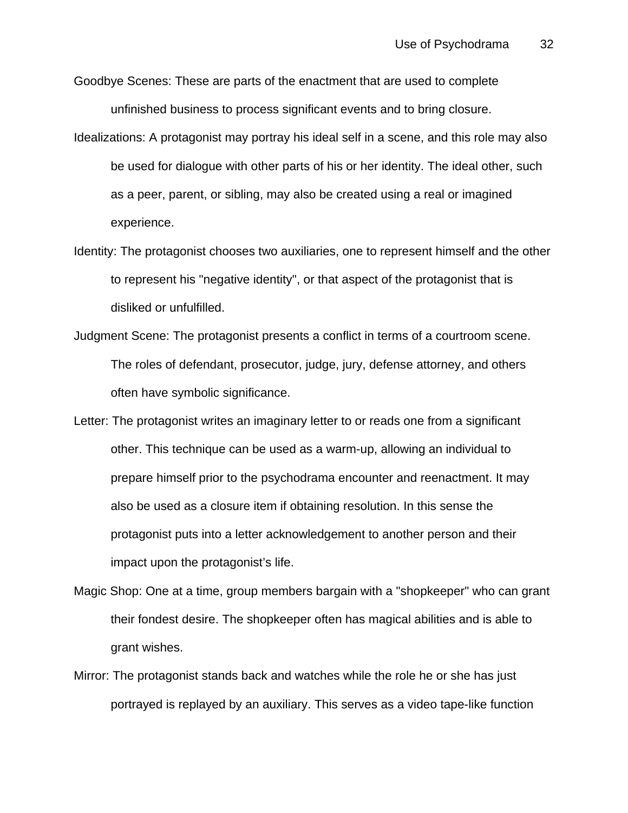- Goodbye Scenes: These are parts of the enactment that are used to complete unfinished business to process significant events and to bring closure.
- Idealizations: A protagonist may portray his ideal self in a scene, and this role may also be used for dialogue with other parts of his or her identity. The ideal other, such as a peer, parent, or sibling, may also be created using a real or imagined experience.
- Identity: The protagonist chooses two auxiliaries, one to represent himself and the other to represent his "negative identity", or that aspect of the protagonist that is disliked or unfulfilled.
- Judgment Scene: The protagonist presents a conflict in terms of a courtroom scene. The roles of defendant, prosecutor, judge, jury, defense attorney, and others often have symbolic significance.
- Letter: The protagonist writes an imaginary letter to or reads one from a significant other. This technique can be used as a warm-up, allowing an individual to prepare himself prior to the psychodrama encounter and reenactment. It may also be used as a closure item if obtaining resolution. In this sense the protagonist puts into a letter acknowledgement to another person and their impact upon the protagonist's life.
- Magic Shop: One at a time, group members bargain with a "shopkeeper" who can grant their fondest desire. The shopkeeper often has magical abilities and is able to grant wishes.
- Mirror: The protagonist stands back and watches while the role he or she has just portrayed is replayed by an auxiliary. This serves as a video tape-like function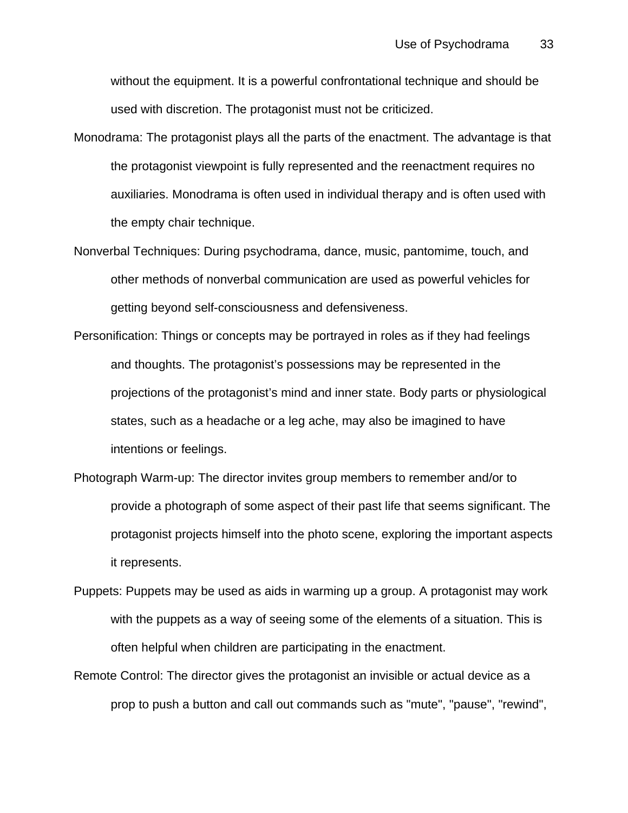without the equipment. It is a powerful confrontational technique and should be used with discretion. The protagonist must not be criticized.

- Monodrama: The protagonist plays all the parts of the enactment. The advantage is that the protagonist viewpoint is fully represented and the reenactment requires no auxiliaries. Monodrama is often used in individual therapy and is often used with the empty chair technique.
- Nonverbal Techniques: During psychodrama, dance, music, pantomime, touch, and other methods of nonverbal communication are used as powerful vehicles for getting beyond self-consciousness and defensiveness.
- Personification: Things or concepts may be portrayed in roles as if they had feelings and thoughts. The protagonist's possessions may be represented in the projections of the protagonist's mind and inner state. Body parts or physiological states, such as a headache or a leg ache, may also be imagined to have intentions or feelings.
- Photograph Warm-up: The director invites group members to remember and/or to provide a photograph of some aspect of their past life that seems significant. The protagonist projects himself into the photo scene, exploring the important aspects it represents.
- Puppets: Puppets may be used as aids in warming up a group. A protagonist may work with the puppets as a way of seeing some of the elements of a situation. This is often helpful when children are participating in the enactment.
- Remote Control: The director gives the protagonist an invisible or actual device as a prop to push a button and call out commands such as "mute", "pause", "rewind",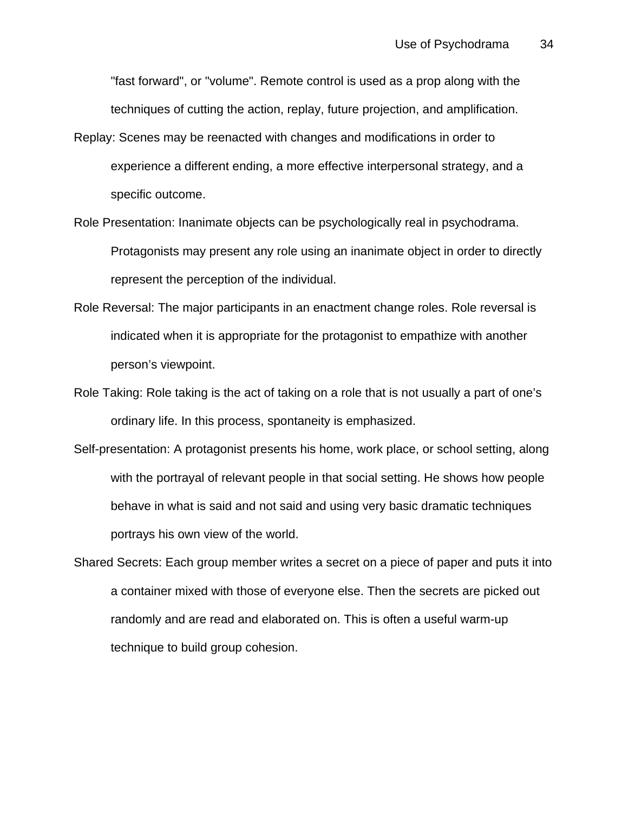"fast forward", or "volume". Remote control is used as a prop along with the techniques of cutting the action, replay, future projection, and amplification.

- Replay: Scenes may be reenacted with changes and modifications in order to experience a different ending, a more effective interpersonal strategy, and a specific outcome.
- Role Presentation: Inanimate objects can be psychologically real in psychodrama. Protagonists may present any role using an inanimate object in order to directly represent the perception of the individual.
- Role Reversal: The major participants in an enactment change roles. Role reversal is indicated when it is appropriate for the protagonist to empathize with another person's viewpoint.
- Role Taking: Role taking is the act of taking on a role that is not usually a part of one's ordinary life. In this process, spontaneity is emphasized.
- Self-presentation: A protagonist presents his home, work place, or school setting, along with the portrayal of relevant people in that social setting. He shows how people behave in what is said and not said and using very basic dramatic techniques portrays his own view of the world.
- Shared Secrets: Each group member writes a secret on a piece of paper and puts it into a container mixed with those of everyone else. Then the secrets are picked out randomly and are read and elaborated on. This is often a useful warm-up technique to build group cohesion.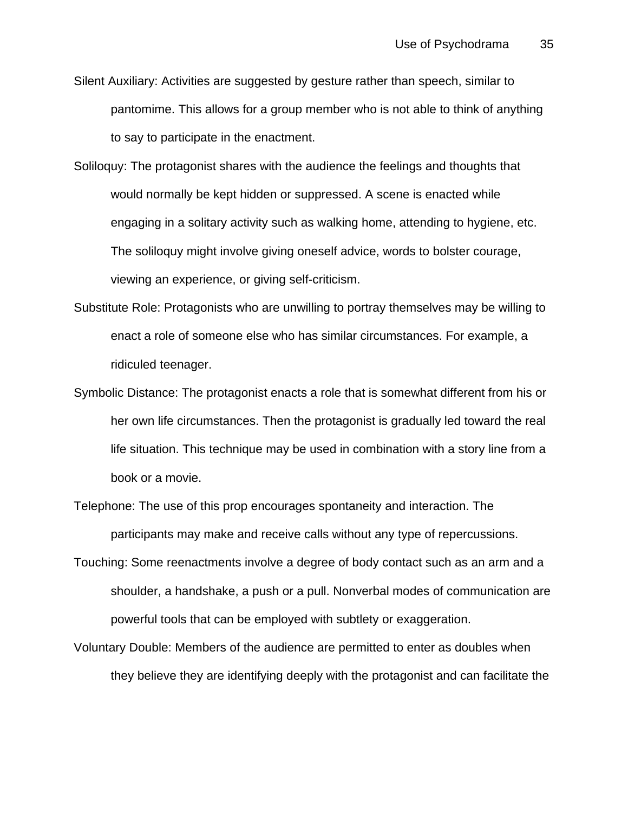- Silent Auxiliary: Activities are suggested by gesture rather than speech, similar to pantomime. This allows for a group member who is not able to think of anything to say to participate in the enactment.
- Soliloquy: The protagonist shares with the audience the feelings and thoughts that would normally be kept hidden or suppressed. A scene is enacted while engaging in a solitary activity such as walking home, attending to hygiene, etc. The soliloquy might involve giving oneself advice, words to bolster courage, viewing an experience, or giving self-criticism.
- Substitute Role: Protagonists who are unwilling to portray themselves may be willing to enact a role of someone else who has similar circumstances. For example, a ridiculed teenager.
- Symbolic Distance: The protagonist enacts a role that is somewhat different from his or her own life circumstances. Then the protagonist is gradually led toward the real life situation. This technique may be used in combination with a story line from a book or a movie.
- Telephone: The use of this prop encourages spontaneity and interaction. The participants may make and receive calls without any type of repercussions.
- Touching: Some reenactments involve a degree of body contact such as an arm and a shoulder, a handshake, a push or a pull. Nonverbal modes of communication are powerful tools that can be employed with subtlety or exaggeration.
- Voluntary Double: Members of the audience are permitted to enter as doubles when they believe they are identifying deeply with the protagonist and can facilitate the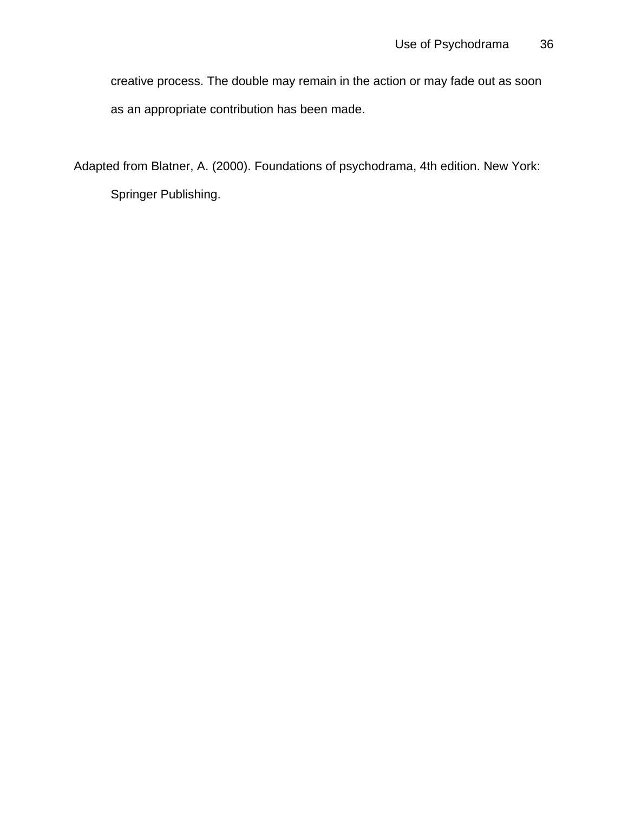creative process. The double may remain in the action or may fade out as soon as an appropriate contribution has been made.

Adapted from Blatner, A. (2000). Foundations of psychodrama, 4th edition. New York: Springer Publishing.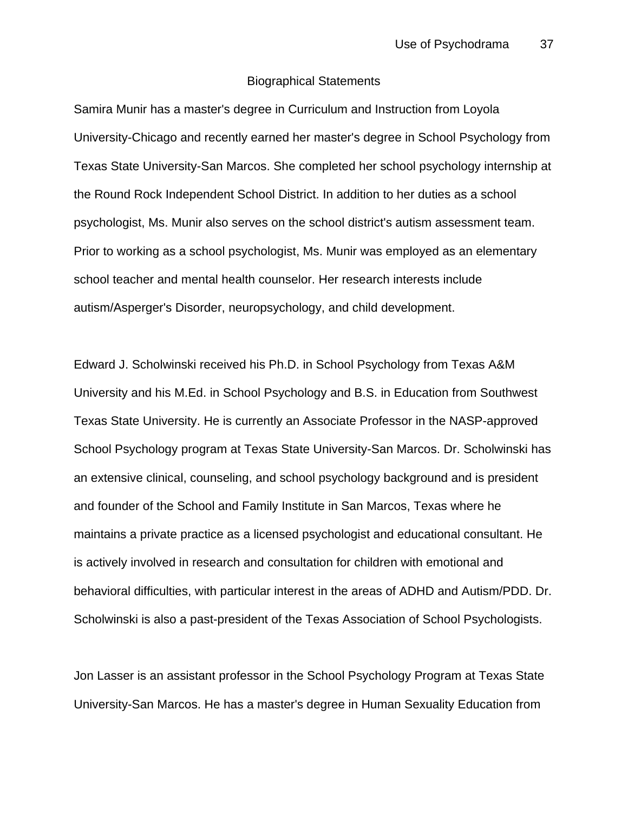### Biographical Statements

Samira Munir has a master's degree in Curriculum and Instruction from Loyola University-Chicago and recently earned her master's degree in School Psychology from Texas State University-San Marcos. She completed her school psychology internship at the Round Rock Independent School District. In addition to her duties as a school psychologist, Ms. Munir also serves on the school district's autism assessment team. Prior to working as a school psychologist, Ms. Munir was employed as an elementary school teacher and mental health counselor. Her research interests include autism/Asperger's Disorder, neuropsychology, and child development.

Edward J. Scholwinski received his Ph.D. in School Psychology from Texas A&M University and his M.Ed. in School Psychology and B.S. in Education from Southwest Texas State University. He is currently an Associate Professor in the NASP-approved School Psychology program at Texas State University-San Marcos. Dr. Scholwinski has an extensive clinical, counseling, and school psychology background and is president and founder of the School and Family Institute in San Marcos, Texas where he maintains a private practice as a licensed psychologist and educational consultant. He is actively involved in research and consultation for children with emotional and behavioral difficulties, with particular interest in the areas of ADHD and Autism/PDD. Dr. Scholwinski is also a past-president of the Texas Association of School Psychologists.

Jon Lasser is an assistant professor in the School Psychology Program at Texas State University-San Marcos. He has a master's degree in Human Sexuality Education from